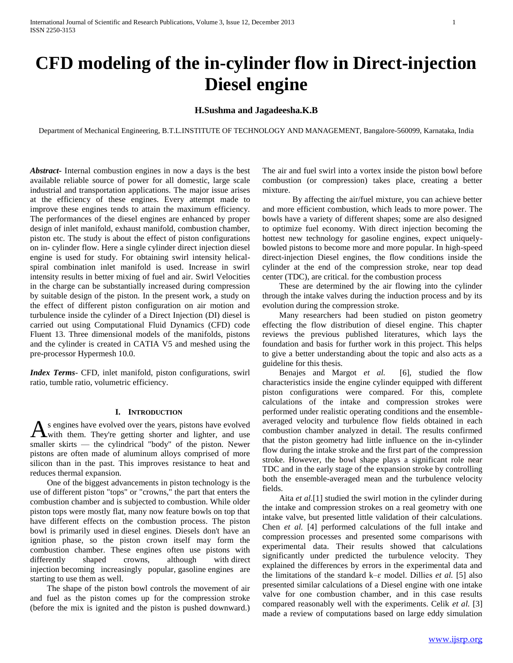# **CFD modeling of the in-cylinder flow in Direct-injection Diesel engine**

# **H.Sushma and Jagadeesha.K.B**

Department of Mechanical Engineering, B.T.L.INSTITUTE OF TECHNOLOGY AND MANAGEMENT, Bangalore-560099, Karnataka, India

*Abstract***-** Internal combustion engines in now a days is the best available reliable source of power for all domestic, large scale industrial and transportation applications. The major issue arises at the efficiency of these engines. Every attempt made to improve these engines tends to attain the maximum efficiency. The performances of the diesel engines are enhanced by proper design of inlet manifold, exhaust manifold, combustion chamber, piston etc. The study is about the effect of piston configurations on in- cylinder flow. Here a single cylinder direct injection diesel engine is used for study. For obtaining swirl intensity helicalspiral combination inlet manifold is used. Increase in swirl intensity results in better mixing of fuel and air. Swirl Velocities in the charge can be substantially increased during compression by suitable design of the piston. In the present work, a study on the effect of different piston configuration on air motion and turbulence inside the cylinder of a Direct Injection (DI) diesel is carried out using Computational Fluid Dynamics (CFD) code Fluent 13. Three dimensional models of the manifolds, pistons and the cylinder is created in CATIA V5 and meshed using the pre-processor Hypermesh 10.0.

*Index Terms*- CFD, inlet manifold, piston configurations, swirl ratio, tumble ratio, volumetric efficiency.

#### **I. INTRODUCTION**

s engines have evolved over the years, pistons have evolved As engines have evolved over the years, pistons have evolved<br>with them. They're getting shorter and lighter, and use smaller skirts — the cylindrical "body" of the piston. Newer pistons are often made of aluminum alloys comprised of more silicon than in the past. This improves resistance to heat and reduces thermal expansion.

 One of the biggest advancements in piston technology is the use of different piston "tops" or "crowns," the part that enters the combustion chamber and is subjected to combustion. While older piston tops were mostly flat, many now feature bowls on top that have different effects on the combustion process. The piston bowl is primarily used in diesel engines. Diesels don't have an ignition phase, so the piston crown itself may form the combustion chamber. These engines often use pistons with differently shaped crowns, although with direct injection becoming increasingly popular, gasoline engines are starting to use them as well.

 The shape of the piston bowl controls the movement of air and fuel as the piston comes up for the compression stroke (before the mix is ignited and the piston is pushed downward.)

The air and fuel swirl into a vortex inside the piston bowl before combustion (or compression) takes place, creating a better mixture.

By affecting the air/fuel mixture, you can achieve better and more efficient combustion, which leads to more power. The bowls have a variety of different shapes; some are also designed to optimize fuel economy. With direct injection becoming the hottest new technology for gasoline engines, expect uniquelybowled pistons to become more and more popular. In high-speed direct-injection Diesel engines, the flow conditions inside the cylinder at the end of the compression stroke, near top dead center (TDC), are critical. for the combustion process

 These are determined by the air flowing into the cylinder through the intake valves during the induction process and by its evolution during the compression stroke.

 Many researchers had been studied on piston geometry effecting the flow distribution of diesel engine. This chapter reviews the previous published literatures, which lays the foundation and basis for further work in this project. This helps to give a better understanding about the topic and also acts as a guideline for this thesis.

 Benajes and Margot *et al.* [6], studied the flow characteristics inside the engine cylinder equipped with different piston configurations were compared. For this, complete calculations of the intake and compression strokes were performed under realistic operating conditions and the ensembleaveraged velocity and turbulence flow fields obtained in each combustion chamber analyzed in detail. The results confirmed that the piston geometry had little influence on the in-cylinder flow during the intake stroke and the first part of the compression stroke. However, the bowl shape plays a significant role near TDC and in the early stage of the expansion stroke by controlling both the ensemble-averaged mean and the turbulence velocity fields.

 Aita *et al.*[1] studied the swirl motion in the cylinder during the intake and compression strokes on a real geometry with one intake valve, but presented little validation of their calculations. Chen *et al.* [4] performed calculations of the full intake and compression processes and presented some comparisons with experimental data. Their results showed that calculations significantly under predicted the turbulence velocity. They explained the differences by errors in the experimental data and the limitations of the standard  $k$ – $\varepsilon$  model. Dillies *et al.* [5] also presented similar calculations of a Diesel engine with one intake valve for one combustion chamber, and in this case results compared reasonably well with the experiments. Celik *et al.* [3] made a review of computations based on large eddy simulation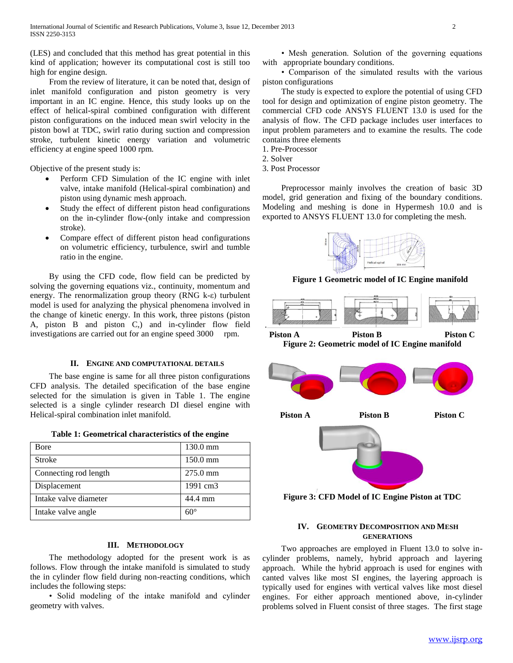(LES) and concluded that this method has great potential in this kind of application; however its computational cost is still too high for engine design.

 From the review of literature, it can be noted that, design of inlet manifold configuration and piston geometry is very important in an IC engine. Hence, this study looks up on the effect of helical-spiral combined configuration with different piston configurations on the induced mean swirl velocity in the piston bowl at TDC, swirl ratio during suction and compression stroke, turbulent kinetic energy variation and volumetric efficiency at engine speed 1000 rpm.

Objective of the present study is:

- Perform CFD Simulation of the IC engine with inlet valve, intake manifold (Helical-spiral combination) and piston using dynamic mesh approach.
- Study the effect of different piston head configurations on the in-cylinder flow-(only intake and compression stroke).
- Compare effect of different piston head configurations on volumetric efficiency, turbulence, swirl and tumble ratio in the engine.

 By using the CFD code, flow field can be predicted by solving the governing equations viz., continuity, momentum and energy. The renormalization group theory (RNG k-ε) turbulent model is used for analyzing the physical phenomena involved in the change of kinetic energy. In this work, three pistons (piston A, piston B and piston C,) and in-cylinder flow field investigations are carried out for an engine speed 3000 rpm.

## **II. ENGINE AND COMPUTATIONAL DETAILS**

 The base engine is same for all three piston configurations CFD analysis. The detailed specification of the base engine selected for the simulation is given in Table 1. The engine selected is a single cylinder research DI diesel engine with Helical-spiral combination inlet manifold.

| Table 1: Geometrical characteristics of the engine |
|----------------------------------------------------|
|----------------------------------------------------|

| Bore                  | 130.0 mm           |
|-----------------------|--------------------|
| Stroke                | $150.0 \text{ mm}$ |
| Connecting rod length | $275.0 \text{ mm}$ |
| Displacement          | 1991 cm3           |
| Intake valve diameter | 44.4 mm            |
| Intake valve angle    | $60^{\circ}$       |

## **III. METHODOLOGY**

 The methodology adopted for the present work is as follows. Flow through the intake manifold is simulated to study the in cylinder flow field during non-reacting conditions, which includes the following steps:

 • Solid modeling of the intake manifold and cylinder geometry with valves.

 • Mesh generation. Solution of the governing equations with appropriate boundary conditions.

 • Comparison of the simulated results with the various piston configurations

 The study is expected to explore the potential of using CFD tool for design and optimization of engine piston geometry. The commercial CFD code ANSYS FLUENT 13.0 is used for the analysis of flow. The CFD package includes user interfaces to input problem parameters and to examine the results. The code contains three elements

- 1. Pre-Processor
- 2. Solver
- 3. Post Processor

 Preprocessor mainly involves the creation of basic 3D model, grid generation and fixing of the boundary conditions. Modeling and meshing is done in Hypermesh 10.0 and is exported to ANSYS FLUENT 13.0 for completing the mesh.



**Figure 1 Geometric model of IC Engine manifold**



**Figure 2: Geometric model of IC Engine manifold**



## **IV. GEOMETRY DECOMPOSITION AND MESH GENERATIONS**

 Two approaches are employed in Fluent 13.0 to solve incylinder problems, namely, hybrid approach and layering approach. While the hybrid approach is used for engines with canted valves like most SI engines, the layering approach is typically used for engines with vertical valves like most diesel engines. For either approach mentioned above, in-cylinder problems solved in Fluent consist of three stages. The first stage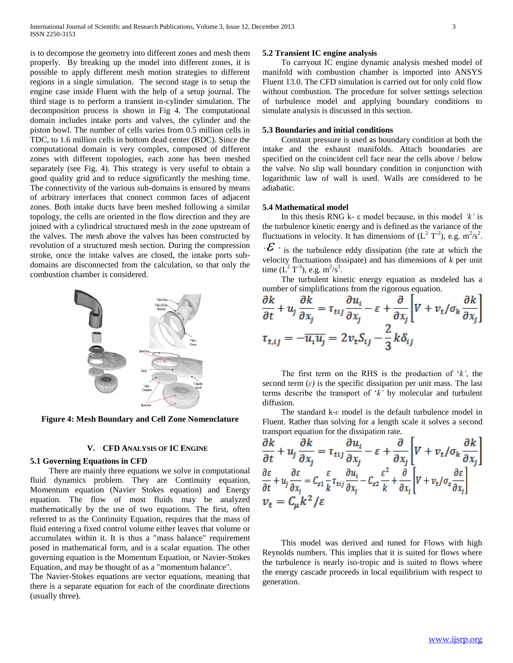is to decompose the geometry into different zones and mesh them properly. By breaking up the model into different zones, it is possible to apply different mesh motion strategies to different regions in a single simulation. The second stage is to setup the engine case inside Fluent with the help of a setup journal. The third stage is to perform a transient in-cylinder simulation. The decomposition process is shown in Fig 4. The computational domain includes intake ports and valves, the cylinder and the piston bowl. The number of cells varies from 0.5 million cells in TDC, to 1.6 million cells in bottom dead center (BDC). Since the computational domain is very complex, composed of different zones with different topologies, each zone has been meshed separately (see Fig. 4). This strategy is very useful to obtain a good quality grid and to reduce significantly the meshing time. The connectivity of the various sub-domains is ensured by means of arbitrary interfaces that connect common faces of adjacent zones. Both intake ducts have been meshed following a similar topology, the cells are oriented in the flow direction and they are joined with a cylindrical structured mesh in the zone upstream of the valves. The mesh above the valves has been constructed by revolution of a structured mesh section. During the compression stroke, once the intake valves are closed, the intake ports subdomains are disconnected from the calculation, so that only the combustion chamber is considered.



**Figure 4: Mesh Boundary and Cell Zone Nomenclature**

## **V. CFD ANALYSIS OF IC ENGINE**

## **5.1 Governing Equations in CFD**

 There are mainly three equations we solve in computational fluid dynamics problem. They are Continuity equation, Momentum equation (Navier Stokes equation) and Energy equation. The flow of most fluids may be analyzed mathematically by the use of two equations. The first, often referred to as the Continuity Equation, requires that the mass of fluid entering a fixed control volume either leaves that volume or accumulates within it. It is thus a "mass balance" requirement posed in mathematical form, and is a scalar equation. The other governing equation is the Momentum Equation, or Navier-Stokes Equation, and may be thought of as a "momentum balance".

The Navier-Stokes equations are vector equations, meaning that there is a separate equation for each of the coordinate directions (usually three).

## **5.2 Transient IC engine analysis**

 To carryout IC engine dynamic analysis meshed model of manifold with combustion chamber is imported into ANSYS Fluent 13.0. The CFD simulation is carried out for only cold flow without combustion. The procedure for solver settings selection of turbulence model and applying boundary conditions to simulate analysis is discussed in this section.

#### **5.3 Boundaries and initial conditions**

 Constant pressure is used as boundary condition at both the intake and the exhaust manifolds. Attach boundaries are specified on the coincident cell face near the cells above / below the valve. No slip wall boundary condition in conjunction with logarithmic law of wall is used. Walls are considered to be adiabatic.

## **5.4 Mathematical model**

 In this thesis RNG k- ε model because, in this model *'k'* is the turbulence kinetic energy and is defined as the variance of the fluctuations in velocity. It has dimensions of  $(L^2 T^2)$ , e.g.  $m^2/s^2$ . *' '* is the turbulence eddy dissipation (the rate at which the velocity fluctuations dissipate) and has dimensions of *k* per unit time  $(L^2T^3)$ , e.g.  $m^2/s^3$ .

 The turbulent kinetic energy equation as modeled has a number of simplifications from the rigorous equation.

$$
\frac{\partial k}{\partial t} + u_j \frac{\partial k}{\partial x_j} = \tau_{tij} \frac{\partial u_i}{\partial x_j} - \varepsilon + \frac{\partial}{\partial x_j} \left[ V + v_t / \sigma_k \frac{\partial k}{\partial x_j} \right]
$$

$$
\tau_{t,ij} = -\overline{u_i u_j} = 2v_t S_{ij} - \frac{2}{3} k \delta_{ij}
$$

 The first term on the RHS is the production of '*k'*, the second term  $(\varepsilon)$  is the specific dissipation per unit mass. The last terms describe the transport of '*k'* by molecular and turbulent diffusion.

 The standard k-*ɛ* model is the default turbulence model in Fluent. Rather than solving for a length scale it solves a second transport equation for the dissipation rate.

$$
\frac{\partial k}{\partial t} + u_j \frac{\partial k}{\partial x_j} = \tau_{tij} \frac{\partial u_i}{\partial x_j} - \varepsilon + \frac{\partial}{\partial x_j} \left[ V + v_t / \sigma_k \frac{\partial k}{\partial x_j} \right]
$$
\n
$$
\frac{\partial \varepsilon}{\partial t} + u_j \frac{\partial \varepsilon}{\partial x_j} = C_{z1} \frac{\varepsilon}{k} \tau_{tij} \frac{\partial u_i}{\partial x_j} - C_{z2} \frac{\varepsilon^2}{k} + \frac{\partial}{\partial x_j} \left[ V + v_t / \sigma_z \frac{\partial \varepsilon}{\partial x_j} \right]
$$
\n
$$
v_t = C_\mu k^2 / \varepsilon
$$

 This model was derived and tuned for Flows with high Reynolds numbers. This implies that it is suited for flows where the turbulence is nearly iso-tropic and is suited to flows where the energy cascade proceeds in local equilibrium with respect to generation.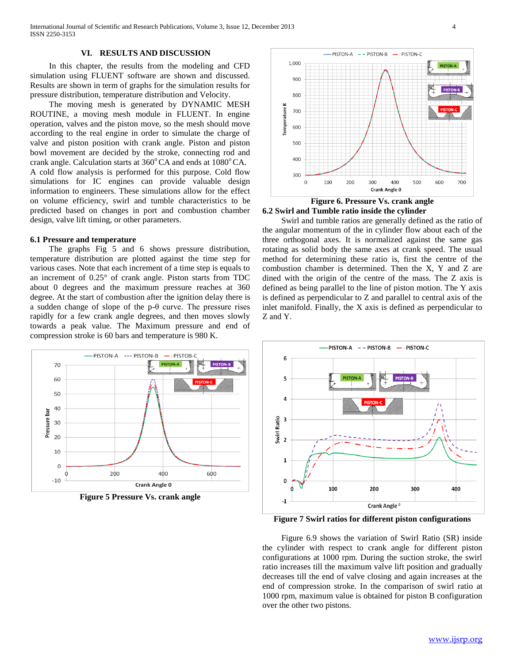## **VI. RESULTS AND DISCUSSION**

 In this chapter, the results from the modeling and CFD simulation using FLUENT software are shown and discussed. Results are shown in term of graphs for the simulation results for pressure distribution, temperature distribution and Velocity.

 The moving mesh is generated by DYNAMIC MESH ROUTINE, a moving mesh module in FLUENT. In engine operation, valves and the piston move, so the mesh should move according to the real engine in order to simulate the charge of valve and piston position with crank angle. Piston and piston bowl movement are decided by the stroke, connecting rod and crank angle. Calculation starts at  $360^{\circ}$ CA and ends at  $1080^{\circ}$ CA. A cold flow analysis is performed for this purpose. Cold flow simulations for IC engines can provide valuable design information to engineers. These simulations allow for the effect on volume efficiency, swirl and tumble characteristics to be predicted based on changes in port and combustion chamber design, valve lift timing, or other parameters.

#### **6.1 Pressure and temperature**

 The graphs Fig 5 and 6 shows pressure distribution, temperature distribution are plotted against the time step for various cases. Note that each increment of a time step is equals to an increment of 0.25° of crank angle. Piston starts from TDC about 0 degrees and the maximum pressure reaches at 360 degree. At the start of combustion after the ignition delay there is a sudden change of slope of the p-θ curve. The pressure rises rapidly for a few crank angle degrees, and then moves slowly towards a peak value. The Maximum pressure and end of compression stroke is 60 bars and temperature is 980 K.



**Figure 5 Pressure Vs. crank angle**



**Figure 6. Pressure Vs. crank angle 6.2 Swirl and Tumble ratio inside the cylinder**

 Swirl and tumble ratios are generally defined as the ratio of the angular momentum of the in cylinder flow about each of the three orthogonal axes. It is normalized against the same gas rotating as solid body the same axes at crank speed. The usual method for determining these ratio is, first the centre of the combustion chamber is determined. Then the X, Y and Z are dined with the origin of the centre of the mass. The Z axis is defined as being parallel to the line of piston motion. The Y axis is defined as perpendicular to Z and parallel to central axis of the inlet manifold. Finally, the X axis is defined as perpendicular to Z and Y.



**Figure 7 Swirl ratios for different piston configurations**

 Figure 6.9 shows the variation of Swirl Ratio (SR) inside the cylinder with respect to crank angle for different piston configurations at 1000 rpm. During the suction stroke, the swirl ratio increases till the maximum valve lift position and gradually decreases till the end of valve closing and again increases at the end of compression stroke. In the comparison of swirl ratio at 1000 rpm, maximum value is obtained for piston B configuration over the other two pistons.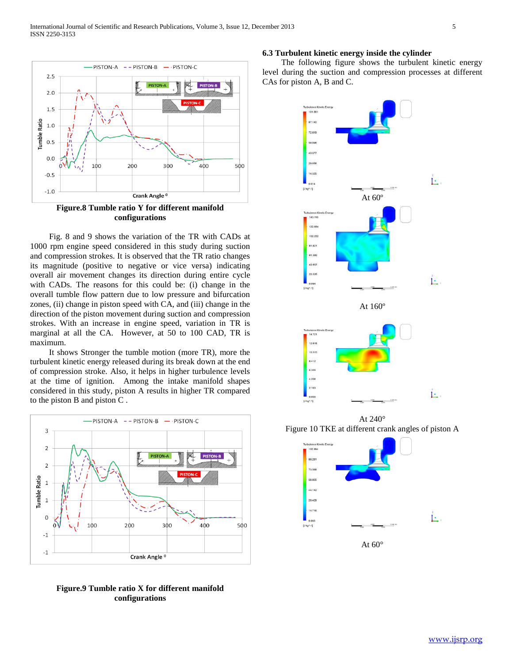

**configurations**

 Fig. 8 and 9 shows the variation of the TR with CADs at 1000 rpm engine speed considered in this study during suction and compression strokes. It is observed that the TR ratio changes its magnitude (positive to negative or vice versa) indicating overall air movement changes its direction during entire cycle with CADs. The reasons for this could be: (i) change in the overall tumble flow pattern due to low pressure and bifurcation zones, (ii) change in piston speed with CA, and (iii) change in the direction of the piston movement during suction and compression strokes. With an increase in engine speed, variation in TR is marginal at all the CA. However, at 50 to 100 CAD, TR is maximum.

 It shows Stronger the tumble motion (more TR), more the turbulent kinetic energy released during its break down at the end of compression stroke. Also, it helps in higher turbulence levels at the time of ignition. Among the intake manifold shapes considered in this study, piston A results in higher TR compared to the piston B and piston C .



**Figure.9 Tumble ratio X for different manifold configurations**

## **6.3 Turbulent kinetic energy inside the cylinder**

 The following figure shows the turbulent kinetic energy level during the suction and compression processes at different CAs for piston A, B and C.



At 240° Figure 10 TKE at different crank angles of piston A

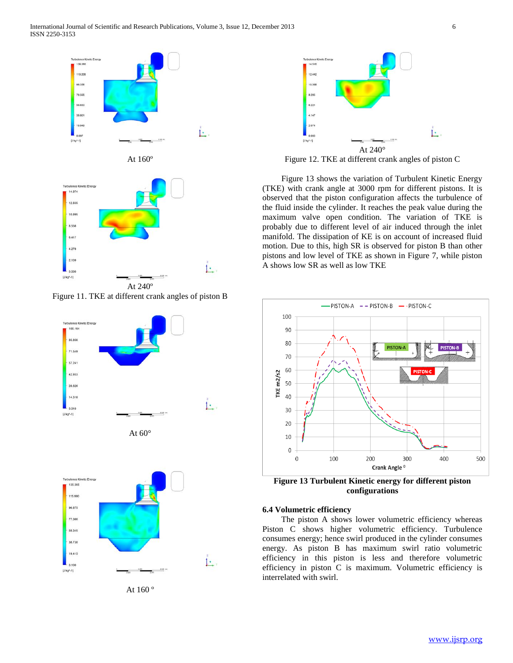

Figure 11. TKE at different crank angles of piston B







At 160 º



Figure 12. TKE at different crank angles of piston C

 Figure 13 shows the variation of Turbulent Kinetic Energy (TKE) with crank angle at 3000 rpm for different pistons. It is observed that the piston configuration affects the turbulence of the fluid inside the cylinder. It reaches the peak value during the maximum valve open condition. The variation of TKE is probably due to different level of air induced through the inlet manifold. The dissipation of KE is on account of increased fluid motion. Due to this, high SR is observed for piston B than other pistons and low level of TKE as shown in Figure 7, while piston A shows low SR as well as low TKE



**Figure 13 Turbulent Kinetic energy for different piston configurations**

### **6.4 Volumetric efficiency**

 The piston A shows lower volumetric efficiency whereas Piston C shows higher volumetric efficiency. Turbulence consumes energy; hence swirl produced in the cylinder consumes energy. As piston B has maximum swirl ratio volumetric efficiency in this piston is less and therefore volumetric efficiency in piston C is maximum. Volumetric efficiency is interrelated with swirl.